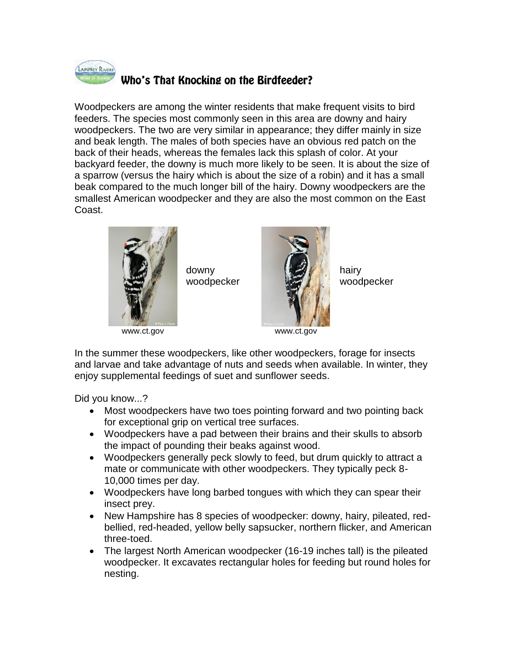

## Who's That Knocking on the Birdfeeder?

Woodpeckers are among the winter residents that make frequent visits to bird feeders. The species most commonly seen in this area are downy and hairy woodpeckers. The two are very similar in appearance; they differ mainly in size and beak length. The males of both species have an obvious red patch on the back of their heads, whereas the females lack this splash of color. At your backyard feeder, the downy is much more likely to be seen. It is about the size of a sparrow (versus the hairy which is about the size of a robin) and it has a small beak compared to the much longer bill of the hairy. Downy woodpeckers are the smallest American woodpecker and they are also the most common on the East Coast.



downy woodpecker



hairy woodpecker

www.ct.gov

In the summer these woodpeckers, like other woodpeckers, forage for insects and larvae and take advantage of nuts and seeds when available. In winter, they enjoy supplemental feedings of suet and sunflower seeds.

Did you know...?

- Most woodpeckers have two toes pointing forward and two pointing back for exceptional grip on vertical tree surfaces.
- Woodpeckers have a pad between their brains and their skulls to absorb the impact of pounding their beaks against wood.
- Woodpeckers generally peck slowly to feed, but drum quickly to attract a mate or communicate with other woodpeckers. They typically peck 8- 10,000 times per day.
- Woodpeckers have long barbed tongues with which they can spear their insect prey.
- New Hampshire has 8 species of woodpecker: downy, hairy, pileated, redbellied, red-headed, yellow belly sapsucker, northern flicker, and American three-toed.
- The largest North American woodpecker (16-19 inches tall) is the pileated woodpecker. It excavates rectangular holes for feeding but round holes for nesting.